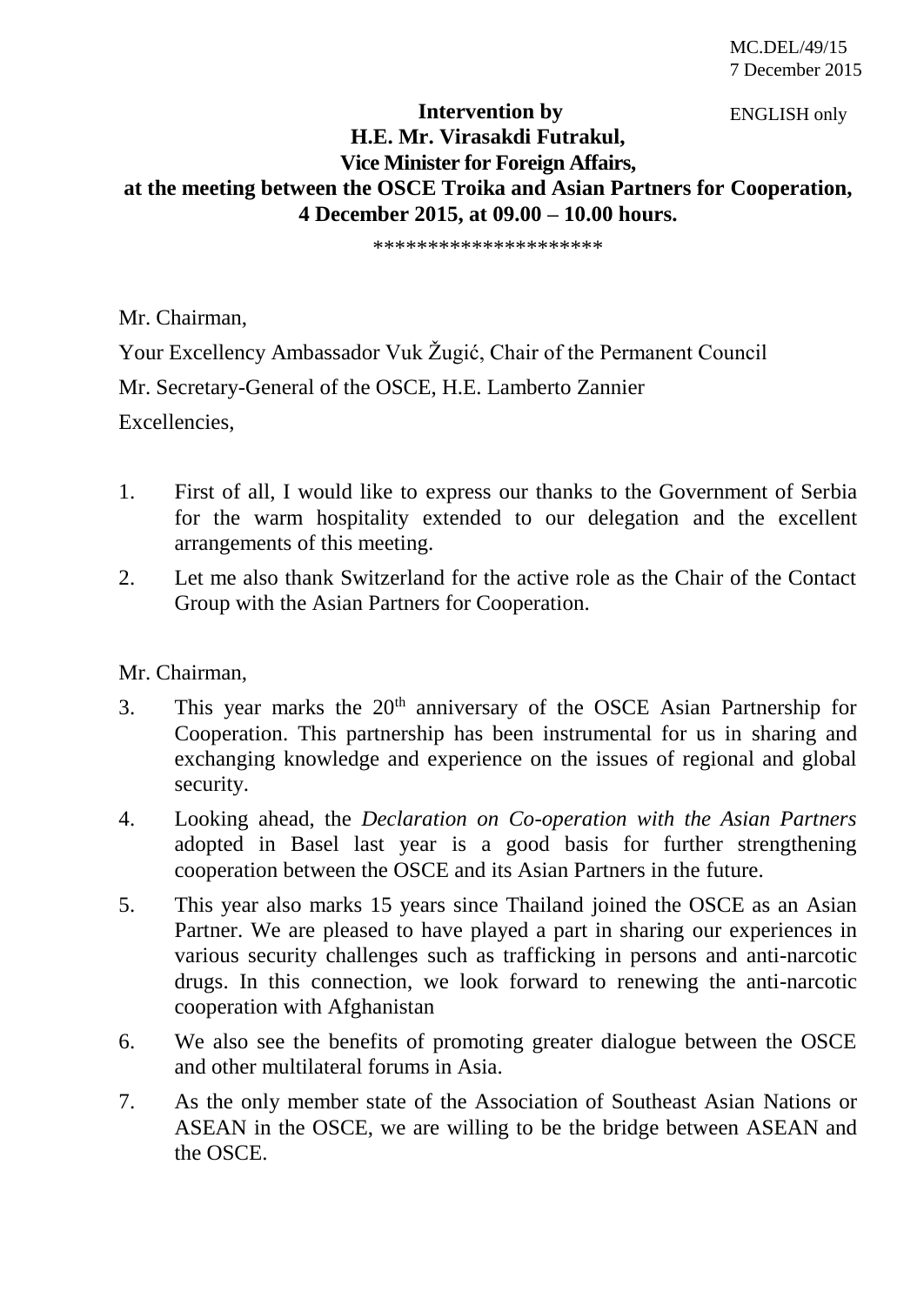ENGLISH only

## **Intervention by H.E. Mr. Virasakdi Futrakul, Vice Minister for Foreign Affairs, at the meeting between the OSCE Troika and Asian Partners for Cooperation, 4 December 2015, at 09.00 – 10.00 hours.**

\*\*\*\*\*\*\*\*\*\*\*\*\*\*\*\*\*\*\*\*\*

Mr. Chairman,

Your Excellency Ambassador Vuk Žugić, Chair of the Permanent Council Mr. Secretary-General of the OSCE, H.E. Lamberto Zannier Excellencies,

- 1. First of all, I would like to express our thanks to the Government of Serbia for the warm hospitality extended to our delegation and the excellent arrangements of this meeting.
- 2. Let me also thank Switzerland for the active role as the Chair of the Contact Group with the Asian Partners for Cooperation.

## Mr. Chairman,

- 3. This year marks the  $20<sup>th</sup>$  anniversary of the OSCE Asian Partnership for Cooperation. This partnership has been instrumental for us in sharing and exchanging knowledge and experience on the issues of regional and global security.
- 4. Looking ahead, the *Declaration on Co-operation with the Asian Partners* adopted in Basel last year is a good basis for further strengthening cooperation between the OSCE and its Asian Partners in the future.
- 5. This year also marks 15 years since Thailand joined the OSCE as an Asian Partner. We are pleased to have played a part in sharing our experiences in various security challenges such as trafficking in persons and anti-narcotic drugs. In this connection, we look forward to renewing the anti-narcotic cooperation with Afghanistan
- 6. We also see the benefits of promoting greater dialogue between the OSCE and other multilateral forums in Asia.
- 7. As the only member state of the Association of Southeast Asian Nations or ASEAN in the OSCE, we are willing to be the bridge between ASEAN and the OSCE.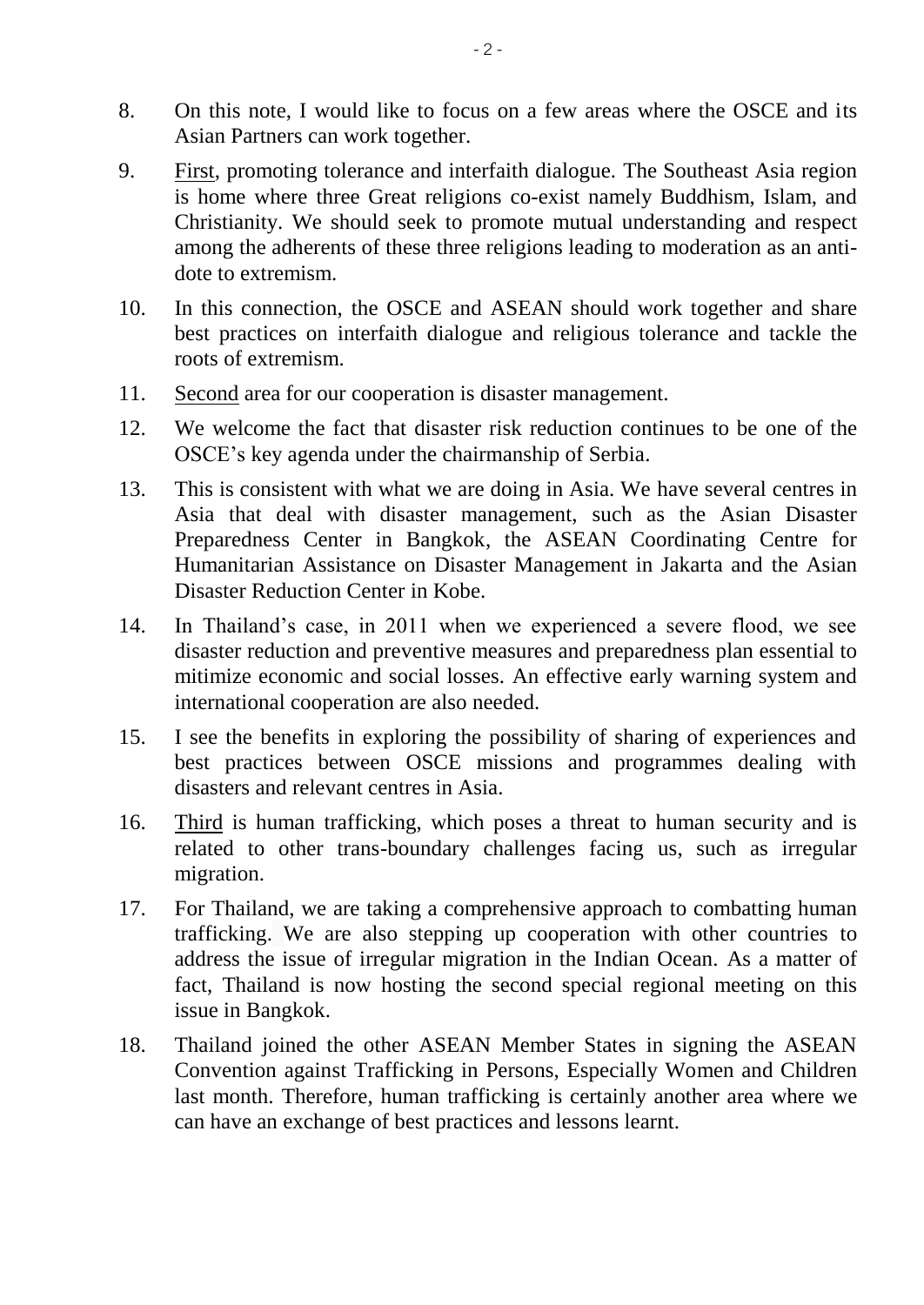- 8. On this note, I would like to focus on a few areas where the OSCE and its Asian Partners can work together.
- 9. First, promoting tolerance and interfaith dialogue. The Southeast Asia region is home where three Great religions co-exist namely Buddhism, Islam, and Christianity. We should seek to promote mutual understanding and respect among the adherents of these three religions leading to moderation as an antidote to extremism.
- 10. In this connection, the OSCE and ASEAN should work together and share best practices on interfaith dialogue and religious tolerance and tackle the roots of extremism.
- 11. Second area for our cooperation is disaster management.
- 12. We welcome the fact that disaster risk reduction continues to be one of the OSCE's key agenda under the chairmanship of Serbia.
- 13. This is consistent with what we are doing in Asia. We have several centres in Asia that deal with disaster management, such as the Asian Disaster Preparedness Center in Bangkok, the ASEAN Coordinating Centre for Humanitarian Assistance on Disaster Management in Jakarta and the Asian Disaster Reduction Center in Kobe.
- 14. In Thailand's case, in 2011 when we experienced a severe flood, we see disaster reduction and preventive measures and preparedness plan essential to mitimize economic and social losses. An effective early warning system and international cooperation are also needed.
- 15. I see the benefits in exploring the possibility of sharing of experiences and best practices between OSCE missions and programmes dealing with disasters and relevant centres in Asia.
- 16. Third is human trafficking, which poses a threat to human security and is related to other trans-boundary challenges facing us, such as irregular migration.
- 17. For Thailand, we are taking a comprehensive approach to combatting human trafficking. We are also stepping up cooperation with other countries to address the issue of irregular migration in the Indian Ocean. As a matter of fact, Thailand is now hosting the second special regional meeting on this issue in Bangkok.
- 18. Thailand joined the other ASEAN Member States in signing the ASEAN Convention against Trafficking in Persons, Especially Women and Children last month. Therefore, human trafficking is certainly another area where we can have an exchange of best practices and lessons learnt.